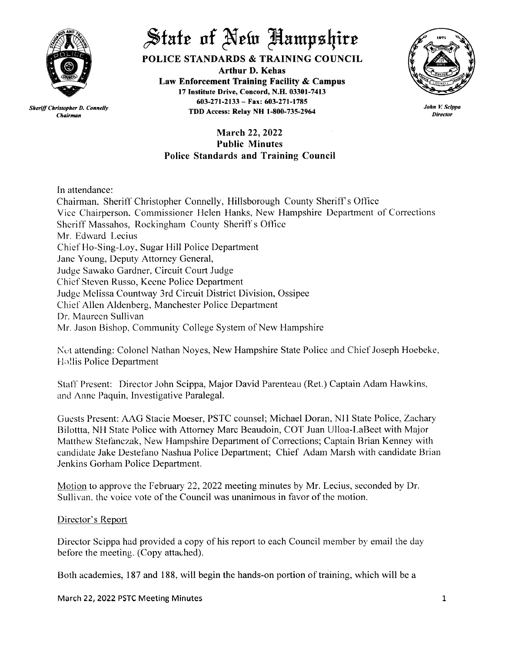

*Chairman*

 $\frac{1}{\sqrt{2}}$  *State* of New Aampshire

POLICE STANDARDS & TRAINING COUNCIL

Arthur D. Kehas Law Enforcement Training Facility & Campus 17 Institute Drive, Concord, N.H. 03301-7413 603-271-2133 - Fax: 603-271-1785 TDD Access: Relay NH 1-800-735-2964 *Sheriff Christopher D. Connelly*



*John V. Scippa Director*

# March 22, 2022 Public Minutes Police Standards and Training Council

In attendance:

Chairman. Sheriff Christopher Connelly, Hillsborough County Sheriffs Office Vice Chairperson. Commissioner Helen Hanks, New Hampshire Department of Corrections Sheriff Massahos, Rockingham County Sheriff s Office Mr. Edward Lecius Chief Ho-Sing-Loy, Sugar Hill Police Department Jane Young, Deputy Attorney General, Judge Sawako Gardner, Circuit Court Judge Chief Steven Russo, Keene Police Department Judge Melissa Countway 3rd Circuit District Division, Ossipee Chief Allen Aldenberg, Manchester Police Department Dr. Maureen Sullivan Mr. Jason Bishop, Community College System of New Hampshire

Not attending: Colonel Nathan Noyes, New Hampshire State Police and Chief Joseph Hoebeke, Hollis Police Department

Staff Present: Director John Scippa, Major David Parenteau (Ret.) Captain Adam Hawkins, and Anne Paquin, Investigative Paralegal.

Guests Present: AAG Stacie Moeser, PSTC counsel; Michael Doran, Nil State Police, Zachary Bilottta, NH State Police with Attorney Marc Beaudoin, COT Juan Ulloa-LaBect with Major Matthew Stefanczak, New Hampshire Department of Corrections; Captain Brian Kenney with candidate Jake Destefano Nashua Police Department; Chief Adam Marsh with candidate Brian Jenkins Gorham Police Department.

Motion to approve the February 22, 2022 meeting minutes by Mr. Lecius, seconded by Dr. Sullivan. the voice vote of the Council was unanimous in favor of the motion.

## Director's Report

Director Scippa had provided a copy of his report to each Council member by email the day before the meeting. (Copy attached).

Both academies, 187 and 188, will begin the hands-on portion of training, which will be a

March 22, 2022 PSTC Meeting Minutes 1 and 2008 1 and 2008 1 and 2008 1 and 2008 1 and 2008 1 and 2008 1 and 20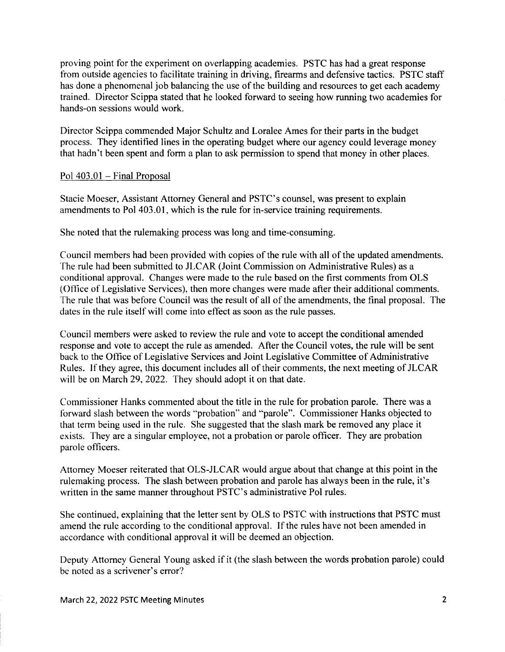proving point for the experiment on overlapping academies. PSTC has had a great response from outside agencies to facilitate training in driving, firearms and defensive tactics. PSTC staff has done a phenomenal job balancing the use of the building and resources to get each academy trained. Director Scippa stated that he looked forward to seeing how running two academies for hands-on sessions would work.

Director Scippa commended Major Schultz and Loralee Ames for their parts in the budget process. They identified lines in the operating budget where our agency could leverage money that hadn't been spent and form a plan to ask permission to spend that money in other places.

### Pol 403.01 - Final Proposal

Stacie Moeser, Assistant Attorney General and PSTC's counsel, was present to explain amendments to Pol 403.01, which is the rule for in-service training requirements.

She noted that the rulemaking process was long and time-consuming.

Council members had been provided with copies of the rule with all of the updated amendments. The rule had been submitted to JLCAR (Joint Commission on Administrative Rules) as a conditional approval. Changes were made to the rule based on the first comments from OLS (Office of Legislative Services), then more changes were made after their additional comments. The rule that was before Council was the result of all of the amendments, the final proposal. The dates in the rule itself will come into effect as soon as the rule passes.

Council members were asked to review the rule and vote to accept the conditional amended response and vote to accept the rule as amended. After the Council votes, the rule will be sent back to the Office of Legislative Services and Joint Legislative Committee of Administrative Rules. If they agree, this document includes all of their comments, the next meeting of JLCAR will be on March 29, 2022. They should adopt it on that date.

Commissioner Hanks commented about the title in the rule for probation parole. There was a forward slash between the words "probation" and "parole". Commissioner Hanks objected to that term being used in the rule. She suggested that the slash mark be removed any place it exists. They are a singular employee, not a probation or parole officer. They are probation parole officers.

Attorney Moeser reiterated that OLS-JLCAR would argue about that change at this point in the rulemaking process. The slash between probation and parole has always been in the rule, it's written in the same manner throughout PSTC's administrative Pol rules.

She continued, explaining that the letter sent by OLS to PSTC with instructions that PSTC must amend the rule according to the conditional approval. If the rules have not been amended in accordance with conditional approval it will be deemed an objection.

Deputy Attorney General Young asked if it (the slash between the words probation parole) could be noted as a scrivener's error?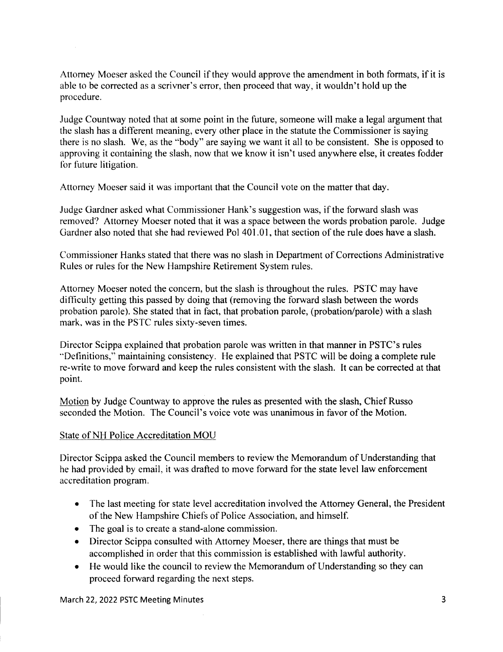Attorney Moeser asked the Council if they would approve the amendment in both formats, if it is able to be corrected as a scrivner's error, then proceed that way, it wouldn't hold up the procedure.

Judge Countway noted that at some point in the future, someone will make a legal argument that the slash has a different meaning, every other place in the statute the Commissioner is saying there is no slash. We, as the "body" are saying we want it all to be consistent. She is opposed to approving it containing the slash, now that we know it isn't used anywhere else, it creates fodder for future litigation.

Attorney Moeser said it was important that the Council vote on the matter that day.

Judge Gardner asked what Commissioner Hank's suggestion was, if the forward slash was removed? Attorney Moeser noted that it was a space between the words probation parole. Judge Gardner also noted that she had reviewed Pol 401.01, that section of the rule does have a slash.

Commissioner Hanks stated that there was no slash in Department of Corrections Administrative Rules or rules for the New Hampshire Retirement System rules.

Attorney Moeser noted the concern, but the slash is throughout the rules. PSTC may have difficulty getting this passed by doing that (removing the forward slash between the words probation parole). She stated that in fact, that probation parole, (probation/parole) with a slash mark, was in the PSTC rules sixty-seven times.

Director Scippa explained that probation parole was written in that manner in PSTC's rules "Definitions," maintaining consistency. He explained that PSTC will be doing a complete rule re-write to move forward and keep the rules consistent with the slash. It can be corrected at that point.

Motion by Judge Countway to approve the rules as presented with the slash, Chief Russo seconded the Motion. The Council's voice vote was unanimous in favor of the Motion.

## State of NH Police Accreditation MOU

Director Scippa asked the Council members to review the Memorandum of Understanding that he had provided by email, it was drafted to move forward for the state level law enforcement accreditation program.

- The last meeting for state level accreditation involved the Attorney General, the President of the New Hampshire Chiefs of Police Association, and himself.
- The goal is to create a stand-alone commission.
- Director Scippa consulted with Attorney Moeser, there are things that must be accomplished in order that this commission is established with lawful authority.
- He would like the council to review the Memorandum of Understanding so they can proceed forward regarding the next steps.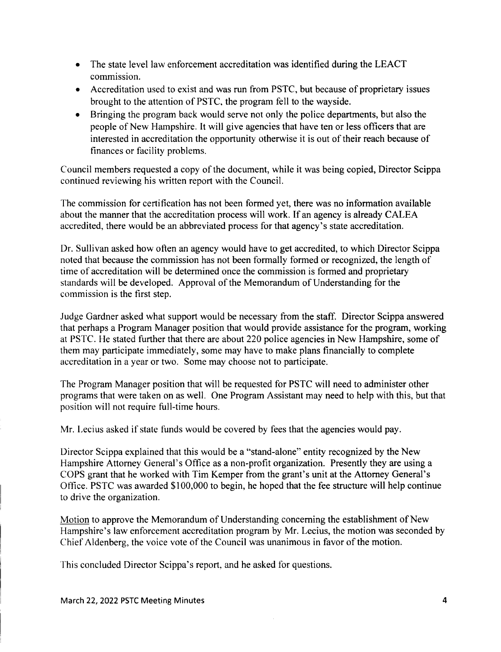- The state level law enforcement accreditation was identified during the LEACT commission.
- Accreditation used to exist and was run from PSTC, but because of proprietary issues brought to the attention of PSTC, the program fell to the wayside.
- Bringing the program back would serve not only the police departments, but also the people of New Hampshire. It will give agencies that have ten or less officers that are interested in accreditation the opportunity otherwise it is out of their reach because of finances or facility problems.

Council members requested a copy of the document, while it was being copied, Director Scippa continued reviewing his written report with the Council.

The commission for certification has not been formed yet, there was no information available about the manner that the accreditation process will work. If an agency is already CALEA accredited, there would be an abbreviated process for that agency's state accreditation.

Dr. Sullivan asked how often an agency would have to get accredited, to which Director Scippa noted that because the commission has not been formally formed or recognized, the length of time of accreditation will be determined once the commission is formed and proprietary standards will be developed. Approval of the Memorandum of Understanding for the commission is the first step.

Judge Gardner asked what support would be necessary from the staff. Director Scippa answered that perhaps a Program Manager position that would provide assistance for the program, working at PSTC. He stated further that there are about 220 police agencies in New Hampshire, some of them may participate immediately, some may have to make plans financially to complete accreditation in a year or two. Some may choose not to participate.

The Program Manager position that will be requested for PSTC will need to administer other programs that were taken on as well. One Program Assistant may need to help with this, but that position will not require full-time hours.

Mr. Lecius asked if state funds would be covered by fees that the agencies would pay.

Director Scippa explained that this would be a "stand-alone" entity recognized by the New Hampshire Attorney General's Office as a non-profit organization. Presently they are using a COPS grant that he worked with Tim Kemper from the grant's unit at the Attorney General's Office. PSTC was awarded \$100,000 to begin, he hoped that the fee structure will help continue to drive the organization.

Motion to approve the Memorandum of Understanding concerning the establishment of New Hampshire's law enforcement accreditation program by Mr. Lecius, the motion was seconded by Chief Aldenberg, the voice vote of the Council was unanimous in favor of the motion.

This concluded Director Scippa's report, and he asked for questions.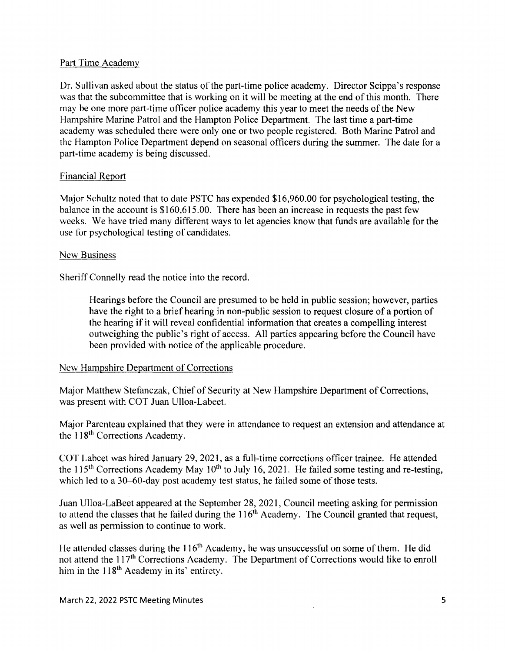### Part Time Academy

Dr. Sullivan asked about the status of the part-time police academy. Director Scippa's response was that the subcommittee that is working on it will be meeting at the end of this month. There may be one more part-time officer police academy this year to meet the needs of the New Hampshire Marine Patrol and the Hampton Police Department. The last time a part-time academy was scheduled there were only one or two people registered. Both Marine Patrol and the Hampton Police Department depend on seasonal officers during the summer. The date for a part-time academy is being discussed.

### Financial Report

Major Schultz noted that to date PSTC has expended \$16,960.00 for psychological testing, the balance in the account is \$160,615.00. There has been an increase in requests the past few weeks. We have tried many different ways to let agencies know that funds are available for the use for psychological testing of candidates.

### New Business

Sheriff Connelly read the notice into the record.

Hearings before the Council are presumed to be held in public session; however, parties have the right to a brief hearing in non-public session to request closure of a portion of the hearing if it will reveal confidential information that creates a compelling interest outweighing the public's right of access. All parties appearing before the Council have been provided with notice of the applicable procedure.

### New Hampshire Department of Corrections

Major Matthew Stefanczak, Chief of Security at New Hampshire Department of Corrections, was present with COT Juan Ulloa-Labeet.

Major Parenteau explained that they were in attendance to request an extension and attendance at the 118<sup>th</sup> Corrections Academy.

COT Labeet was hired January 29, 2021, as a full-time corrections officer trainee. He attended the 115<sup>th</sup> Corrections Academy May 10<sup>th</sup> to July 16, 2021. He failed some testing and re-testing which led to a  $30-60$ -day post academy test status, he failed some of those tests.

Juan Ulloa-LaBeet appeared at the September 28, 2021, Council meeting asking for permission to attend the classes that he failed during the 116<sup>th</sup> Academy. The Council granted that request, as well as permission to continue to work.

He attended classes during the 116<sup>th</sup> Academy, he was unsuccessful on some of them. He did not attend the 117<sup>th</sup> Corrections Academy. The Department of Corrections would like to enroll him in the  $118<sup>th</sup>$  Academy in its' entirety.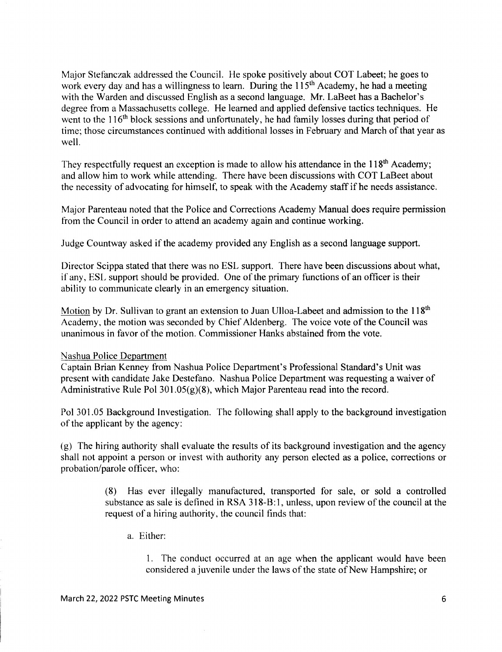Major Stefanczak addressed the Council. He spoke positively about COT Labeet; he goes to work every day and has a willingness to learn. During the  $115<sup>th</sup>$  Academy, he had a meeting with the Warden and discussed English as a second language. Mr. LaBeet has a Bachelor's degree from a Massachusetts college. He learned and applied defensive tactics techniques. He went to the 116<sup>th</sup> block sessions and unfortunately, he had family losses during that period of time; those circumstances continued with additional losses in February and March of that year as well.

They respectfully request an exception is made to allow his attendance in the 118<sup>th</sup> Academy; and allow him to work while attending. There have been discussions with COT LaBeet about the necessity of advocating for himself, to speak with the Academy staff if he needs assistance.

Major Parenteau noted that the Police and Corrections Academy Manual does require permission from the Council in order to attend an academy again and continue working.

Judge Countway asked if the academy provided any English as a second language support.

Director Scippa stated that there was no ESL support. There have been discussions about what, if any, ESL support should be provided. One of the primary functions of an officer is their ability to communicate clearly in an emergency situation.

Motion by Dr. Sullivan to grant an extension to Juan Ulloa-Labeet and admission to the 118<sup>th</sup> Academy, the motion was seconded by Chief Aldenberg. The voice vote of the Council was unanimous in favor of the motion. Commissioner Hanks abstained from the vote.

#### Nashua Police Department

Captain Brian Kenney from Nashua Police Department's Professional Standard's Unit was present with candidate Jake Destefano. Nashua Police Department was requesting a waiver of Administrative Rule Pol 301.05(g)(8), which Major Parenteau read into the record.

Pol 301.05 Background Investigation. The following shall apply to the background investigation of the applicant by the agency:

(g) The hiring authority shall evaluate the results of its background investigation and the agency shall not appoint a person or invest with authority any person elected as a police, corrections or probation/parole officer, who:

> (8) Has ever illegally manufactured, transported for sale, or sold a controlled substance as sale is defined in RSA 318-B:1, unless, upon review of the council at the request of a hiring authority, the council finds that:

a. Either:

1. The conduct occurred at an age when the applicant would have been considered a juvenile under the laws of the state of New Hampshire; or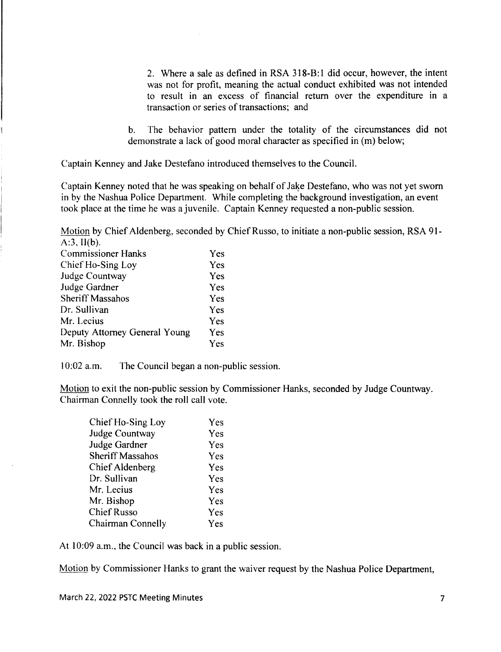2. Where a sale as defined in RSA 318-B: 1 did occur, however, the intent was not for profit, meaning the actual conduct exhibited was not intended to result in an excess of financial return over the expenditure in a transaction or series of transactions; and

b. The behavior pattern under the totality of the circumstances did not demonstrate a lack of good moral character as specified in (m) below;

Captain Kenney and Jake Destefano introduced themselves to the Council.

Captain Kenney noted that he was speaking on behalf of Jake Destefano, who was not yet sworn in by the Nashua Police Department. While completing the background investigation, an event took place at the time he was a juvenile. Captain Kenney requested a non-public session.

Motion by Chief Aldenberg, seconded by Chief Russo, to initiate a non-public session, RSA 91-  $A:3, II(b).$ 

| <b>Commissioner Hanks</b>     | Yes |
|-------------------------------|-----|
| Chief Ho-Sing Loy             | Yes |
| Judge Countway                | Yes |
| Judge Gardner                 | Yes |
| <b>Sheriff Massahos</b>       | Yes |
| Dr. Sullivan                  | Yes |
| Mr. Lecius                    | Yes |
| Deputy Attorney General Young | Yes |
| Mr. Bishop                    | Yes |

10:02 a.m. The Council began a non-public session.

Motion to exit the non-public session by Commissioner Hanks, seconded by Judge Countway. Chairman Connelly took the roll call vote.

| Chief Ho-Sing Loy       | Yes |
|-------------------------|-----|
| <b>Judge Countway</b>   | Yes |
| Judge Gardner           | Yes |
| <b>Sheriff Massahos</b> | Yes |
| Chief Aldenberg         | Yes |
| Dr. Sullivan            | Yes |
| Mr. Lecius              | Yes |
| Mr. Bishop              | Yes |
| <b>Chief Russo</b>      | Yes |
| Chairman Connelly       | Yes |
|                         |     |

At 10:09 a.m., the Council was back in a public session.

Motion by Commissioner Hanks to grant the waiver request by the Nashua Police Department,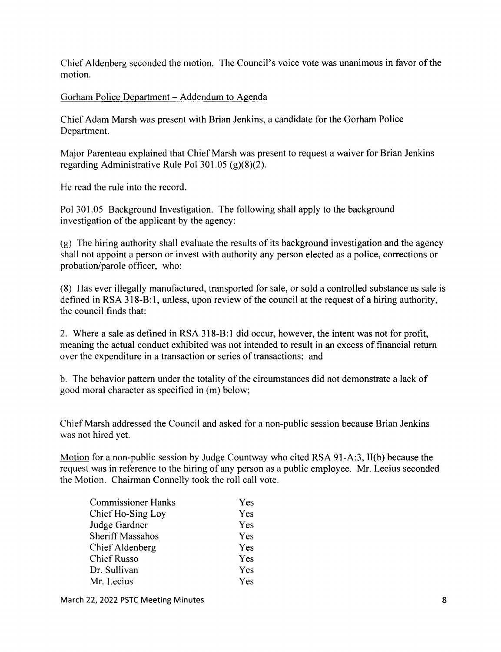Chief Aldenberg seconded the motion. The Council's voice vote was unanimous in favor of the motion.

Gorham Police Department - Addendum to Agenda

Chief Adam Marsh was present with Brian Jenkins, a candidate for the Gorham Police Department.

Major Parenteau explained that Chief Marsh was present to request a waiver for Brian Jenkins regarding Administrative Rule Pol 301.05 (g)(8)(2).

He read the rule into the record.

Pol 301.05 Background Investigation. The following shall apply to the background investigation of the applicant by the agency:

(g) The hiring authority shall evaluate the results of its background investigation and the agency shall not appoint a person or invest with authority any person elected as a police, corrections or probation/parole officer, who:

(8) Has ever illegally manufactured, transported for sale, or sold a controlled substance as sale is defined in RSA 318-B:1, unless, upon review of the council at the request of a hiring authority, the council finds that:

2. Where a sale as defined in RSA 318-B:1 did occur, however, the intent was not for profit, meaning the actual conduct exhibited was not intended to result in an excess of financial return over the expenditure in a transaction or series of transactions; and

b. The behavior pattern under the totality of the circumstances did not demonstrate a lack of good moral character as specified in (m) below;

Chief Marsh addressed the Council and asked for a non-public session because Brian Jenkins was not hired yet.

Motion for a non-public session by Judge Countway who cited RSA 91-A:3, II(b) because the request was in reference to the hiring of any person as a public employee. Mr. Lecius seconded the Motion. Chairman Connelly took the roll call vote.

| <b>Commissioner Hanks</b> | <b>Yes</b> |
|---------------------------|------------|
| Chief Ho-Sing Loy         | Yes        |
| Judge Gardner             | Yes        |
| <b>Sheriff Massahos</b>   | Yes        |
| Chief Aldenberg           | <b>Yes</b> |
| <b>Chief Russo</b>        | <b>Yes</b> |
| Dr. Sullivan              | Yes        |
| Mr. Lecius                | Yes        |

March 22, 2022 PSTC Meeting Minutes 8 and 2008 and 2008 and 2008 and 2008 and 2008 and 2008 and 2008 and 2008 and 2008 and 2008 and 2008 and 2008 and 2008 and 2008 and 2008 and 2008 and 2008 and 2008 and 2008 and 2008 and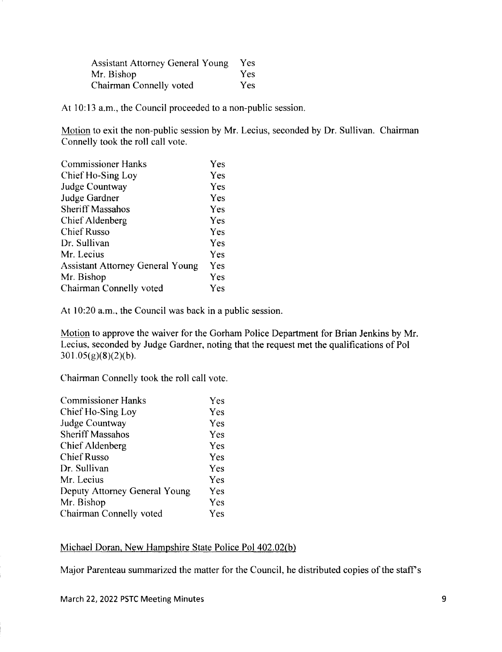Assistant Attorney General Young Yes Mr. Bishop Yes Chairman Connelly voted Yes

At 10:13 a.m., the Council proceeded to a non-public session.

Motion to exit the non-public session by Mr. Lecius, seconded by Dr. Sullivan. Chairman Connelly took the roll call vote.

| Yes        |
|------------|
| Yes        |
| Yes        |
| Yes        |
| Yes        |
| Yes        |
| Yes        |
| Yes        |
| Yes        |
| <b>Yes</b> |
| Yes        |
| <b>Yes</b> |
|            |

At 10:20 a.m., the Council was back in a public session.

Motion to approve the waiver for the Gorham Police Department for Brian Jenkins by Mr. Lecius, seconded by Judge Gardner, noting that the request met the qualifications of Pol  $301.05(g)(8)(2)(b).$ 

Chairman Connelly took the roll call vote.

| <b>Commissioner Hanks</b>     | Yes |
|-------------------------------|-----|
| Chief Ho-Sing Loy             | Yes |
| <b>Judge Countway</b>         | Yes |
| <b>Sheriff Massahos</b>       | Yes |
| Chief Aldenberg               | Yes |
| <b>Chief Russo</b>            | Yes |
| Dr. Sullivan                  | Yes |
| Mr. Lecius                    | Yes |
| Deputy Attorney General Young | Yes |
| Mr. Bishop                    | Yes |
| Chairman Connelly voted       | Yes |

### Michael Doran, New Hampshire State Police Pol 402.02(b)

Major Parenteau summarized the matter for the Council, he distributed copies of the staff's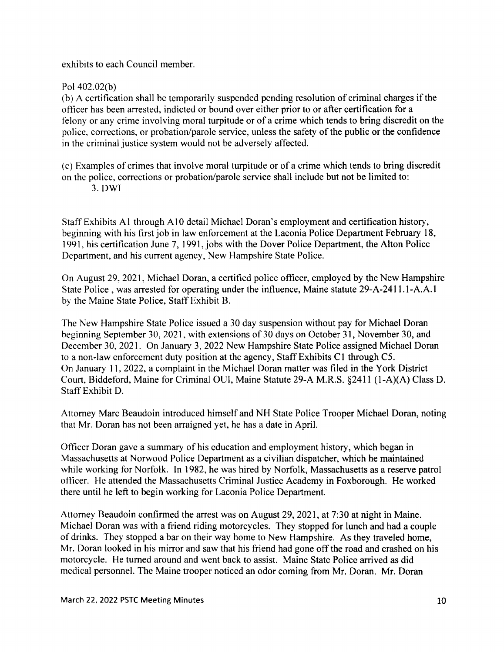exhibits to each Council member.

Pol 402.02(b)

(b) A certification shall be temporarily suspended pending resolution of criminal charges if the officer has been arrested, indicted or bound over either prior to or after certification for a felony or any crime involving moral turpitude or of a crime which tends to bring discredit on the police, corrections, or probation/parole service, unless the safety of the public or the confidence in the criminal justice system would not be adversely affected.

(c) Examples of crimes that involve moral turpitude or of a crime which tends to bring discredit on the police, corrections or probation/parole service shall include but not be limited to: 3. OWl

Staff Exhibits A 1 through A 10 detail Michael Doran's employment and certification history, beginning with his first job in law enforcement at the Laconia Police Department February 18, 1991, his certification June 7, 1991, jobs with the Dover Police Department, the Alton Police Department, and his current agency, New Hampshire State Police.

On August 29, 2021, Michael Doran, a certified police officer, employed by the New Hampshire State Police, was arrested for operating under the influence, Maine statute 29-A-2411.1-A.A.l by the Maine State Police, Staff Exhibit B.

The New Hampshire State Police issued a 30 day suspension without pay for Michael Doran beginning September 30, 2021, with extensions of 30 days on October 31, November 30, and December 30, 2021. On January 3, 2022 New Hampshire State Police assigned Michael Doran to a non-law enforcement duty position at the agency, Staff Exhibits C1 through C5. On January 11, 2022, a complaint in the Michael Doran matter was filed in the York District Court, Biddeford, Maine for Criminal OUI, Maine Statute 29-A M.R.S. §2411 (l-A)(A) Class D. Staff Exhibit D.

Attorney Marc Beaudoin introduced himself and NH State Police Trooper Michael Doran, noting that Mr. Doran has not been arraigned yet, he has a date in April.

Officer Doran gave a summary of his education and employment history, which began in Massachusetts at Norwood Police Department as a civilian dispatcher, which he maintained while working for Norfolk. In 1982, he was hired by Norfolk, Massachusetts as a reserve patrol officer. He attended the Massachusetts Criminal Justice Academy in Foxborough. He worked there until he left to begin working for Laconia Police Department.

Attorney Beaudoin confirmed the arrest was on August 29, 2021, at 7:30 at night in Maine. Michael Doran was with a friend riding motorcycles. They stopped for lunch and had a couple of drinks. They stopped a bar on their way home to New Hampshire. As they traveled home, Mr. Doran looked in his mirror and saw that his friend had gone off the road and crashed on his motorcycle. He turned around and went back to assist. Maine State Police arrived as did medical personnel. The Maine trooper noticed an odor coming from Mr. Doran. Mr. Doran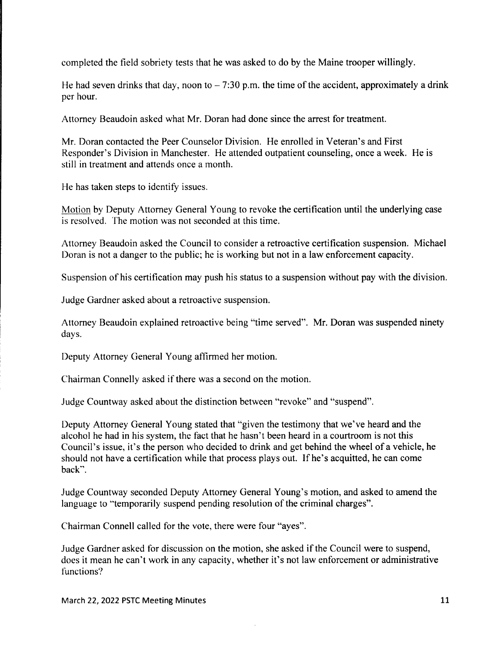completed the field sobriety tests that he was asked to do by the Maine trooper willingly.

He had seven drinks that day, noon to  $-7:30$  p.m. the time of the accident, approximately a drink per hour.

Attorney Beaudoin asked what Mr. Doran had done since the arrest for treatment.

Mr. Doran contacted the Peer Counselor Division. He enrolled in Veteran's and First Responder's Division in Manchester. He attended outpatient counseling, once a week. He is still in treatment and attends once a month.

He has taken steps to identify issues.

Motion by Deputy Attorney General Young to revoke the certification until the underlying case is resolved. The motion was not seconded at this time.

Attorney Beaudoin asked the Council to consider a retroactive certification suspension. Michael Doran is not a danger to the public; he is working but not in a law enforcement capacity.

Suspension of his certification may push his status to a suspension without pay with the division.

Judge Gardner asked about a retroactive suspension.

Attorney Beaudoin explained retroactive being "time served". Mr. Doran was suspended ninety days.

Deputy Attorney General Young affirmed her motion.

Chairman Connelly asked if there was a second on the motion.

Judge Countway asked about the distinction between "revoke" and "suspend".

Deputy Attorney General Young stated that "given the testimony that we've heard and the alcohol he had in his system, the fact that he hasn't been heard in a courtroom is not this Council's issue, it's the person who decided to drink and get behind the wheel of a vehicle, he should not have a certification while that process plays out. Ifhe's acquitted, he can come back".

Judge Countway seconded Deputy Attorney General Young's motion, and asked to amend the language to "temporarily suspend pending resolution of the criminal charges".

Chairman Connell called for the vote, there were four "ayes".

Judge Gardner asked for discussion on the motion, she asked if the Council were to suspend, does it mean he can't work in any capacity, whether it's not law enforcement or administrative functions?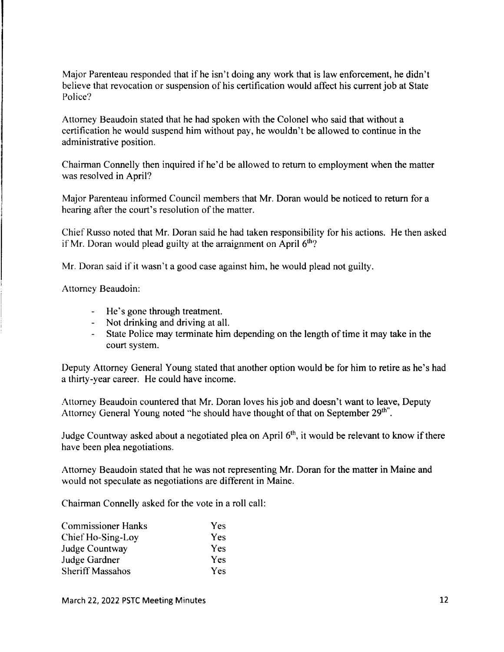Major Parenteau responded that if he isn't doing any work that is law enforcement, he didn't believe that revocation or suspension of his certification would affect his current job at State Police?

Attorney Beaudoin stated that he had spoken with the Colonel who said that without a certification he would suspend him without pay, he wouldn't be allowed to continue in the administrative position.

Chairman Connelly then inquired ifhe'd be allowed to return to employment when the matter was resolved in April?

Major Parenteau informed Council members that Mr. Doran would be noticed to return for a hearing after the court's resolution of the matter.

Chief Russo noted that Mr. Doran said he had taken responsibility for his actions. He then asked if Mr. Doran would plead guilty at the arraignment on April  $6<sup>th</sup>$ ?

Mr. Doran said if it wasn't a good case against him, he would plead not guilty.

Attorney Beaudoin:

- He's gone through treatment.
- Not drinking and driving at all.
- State Police may terminate him depending on the length of time it may take in the court system.

Deputy Attorney General Young stated that another option would be for him to retire as he's had a thirty-year career. He could have income.

Attorney Beaudoin countered that Mr. Doran loves his job and doesn't want to leave, Deputy Attorney General Young noted "he should have thought of that on September 29<sup>th"</sup>.

Judge Countway asked about a negotiated plea on April  $6<sup>th</sup>$ , it would be relevant to know if there have been plea negotiations.

Attorney Beaudoin stated that he was not representing Mr. Doran for the matter in Maine and would not speculate as negotiations are different in Maine.

Chairman Connelly asked for the vote in a roll call:

| <b>Commissioner Hanks</b> | <b>Yes</b> |
|---------------------------|------------|
| Chief Ho-Sing-Loy         | <b>Yes</b> |
| Judge Countway            | <b>Yes</b> |
| Judge Gardner             | <b>Yes</b> |
| <b>Sheriff Massahos</b>   | <b>Yes</b> |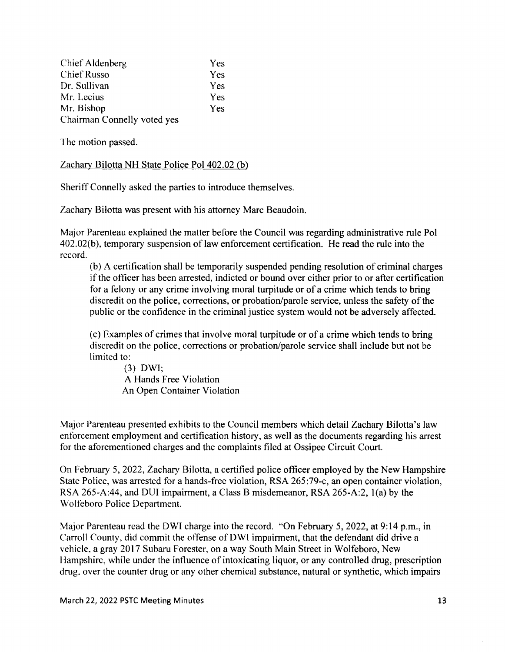| Chief Aldenberg             | Yes        |
|-----------------------------|------------|
| <b>Chief Russo</b>          | Yes        |
| Dr. Sullivan                | Yes        |
| Mr. Lecius                  | <b>Yes</b> |
| Mr. Bishop                  | <b>Yes</b> |
| Chairman Connelly voted yes |            |

The motion passed.

Zachary Bilotta NH State Police Pol 402.02 (b)

Sheriff Connelly asked the parties to introduce themselves.

Zachary Bilotta was present with his attorney Marc Beaudoin.

Major Parenteau explained the matter before the Council was regarding administrative rule Pol 402. 02(b), temporary suspension of law enforcement certification. He read the rule into the record.

(b) A certification shall be temporarily suspended pending resolution of criminal charges if the officer has been arrested, indicted or bound over either prior to or after certification for a felony or any crime involving moral turpitude or of a crime which tends to bring discredit on the police, corrections, or probation/parole service, unless the safety of the public or the confidence in the criminal justice system would not be adversely affected.

(c) Examples of crimes that involve moral turpitude or of a crime which tends to bring discredit on the police, corrections or probation/parole service shall include but not be limited to:

(3) DWI; A Hands Free Violation An Open Container Violation

Major Parenteau presented exhibits to the Council members which detail Zachary Bilotta's law enforcement employment and certification history, as well as the documents regarding his arrest for the aforementioned charges and the complaints filed at Ossipee Circuit Court.

On February 5, 2022, Zachary Bilotta, a certified police officer employed by the New Hampshire State Police, was arrested for a hands-free violation, RSA 265:79-c, an open container violation, RSA 265-A:44, and DUI impairment, a Class B misdemeanor, RSA 265-A:2,  $1(a)$  by the Wolfeboro Police Department.

Major Parenteau read the DWI charge into the record. "On February 5, 2022, at 9:14 p.m., in Carroll County, did commit the offense of DWI impairment, that the defendant did drive a vehicle, a gray 2017 Subaru Forester, on a way South Main Street in Wolfeboro, New Hampshire, while under the influence of intoxicating liquor, or any controlled drug, prescription drug, over the counter drug or any other chemical substance, natural or synthetic, which impairs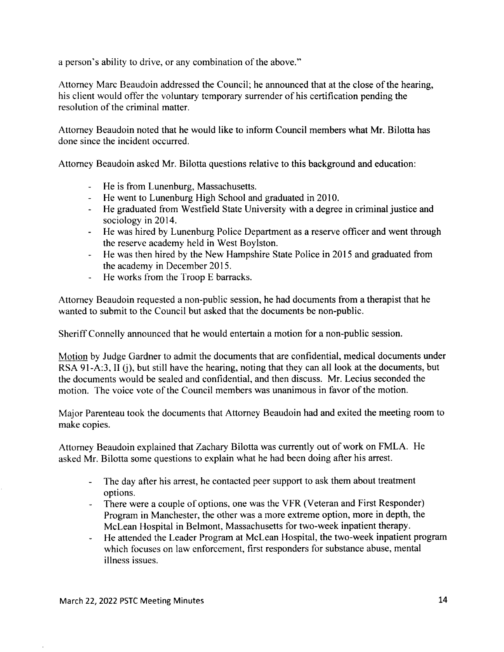a person's ability to drive, or any combination of the above."

Attorney Marc Beaudoin addressed the Council; he announced that at the close of the hearing, his client would offer the voluntary temporary surrender of his certification pending the resolution of the criminal matter.

Attorney Beaudoin noted that he would like to inform Council members what Mr. Bilotta has done since the incident occurred.

Attorney Beaudoin asked Mr. Bilotta questions relative to this background and education:

- He is from Lunenburg, Massachusetts.
- He went to Lunenburg High School and graduated in 2010.
- He graduated from Westfield State University with a degree in criminal justice and sociology in 2014.
- He was hired by Lunenburg Police Department as a reserve officer and went through the reserve academy held in West Boylston.
- He was then hired by the New Hampshire State Police in 2015 and graduated from the academy in December 2015.
- He works from the Troop E barracks.

Attorney Beaudoin requested a non-public session, he had documents from a therapist that he wanted to submit to the Council but asked that the documents be non-public.

Sheriff Connelly announced that he would entertain a motion for a non-public session.

Motion by Judge Gardner to admit the documents that are confidential, medical documents under RSA 91-A:3, II (i), but still have the hearing, noting that they can all look at the documents, but the documents would be sealed and confidential, and then discuss. Mr. Lecius seconded the motion. The voice vote of the Council members was unanimous in favor of the motion.

Major Parenteau took the documents that Attorney Beaudoin had and exited the meeting room to make copies.

Attorney Beaudoin explained that Zachary Bilotta was currently out of work on FMLA. He asked Mr. Bilotta some questions to explain what he had been doing after his arrest.

- The day after his arrest, he contacted peer support to ask them about treatment options.
- There were a couple of options, one was the VFR (Veteran and First Responder) Program in Manchester, the other was a more extreme option, more in depth, the McLean Hospital in Belmont, Massachusetts for two-week inpatient therapy.
- He attended the Leader Program at McLean Hospital, the two-week inpatient program which focuses on law enforcement, first responders for substance abuse, mental illness issues.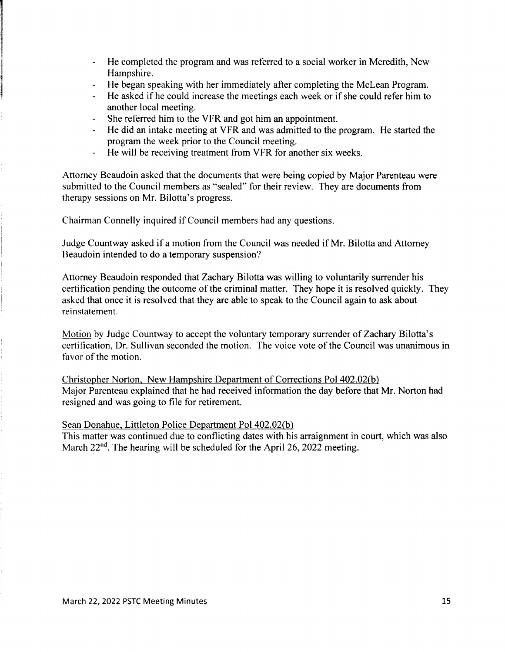- $\frac{1}{2}$ He completed the program and was referred to a social worker in Meredith, New Hampshire.
- He began speaking with her immediately after completing the McLean Program. ie i
- He asked if he could increase the meetings each week or if she could refer him to another local meeting.
- $\omega_{\rm{eff}}$ She referred him to the YFR and got him an appointment.
- He did an intake meeting at YFR and was admitted to the program. He started the program the week prior to the Council meeting.
- He will be receiving treatment from VFR for another six weeks.

Attorney Beaudoin asked that the documents that were being copied by Major Parenteau were submitted to the Council members as "sealed" for their review. They are documents from therapy sessions on Mr. Bilotta's progress.

Chairman Connelly inquired if Council members had any questions.

Judge Countway asked if a motion from the Council was needed if Mr. Bilotta and Attorney Beaudoin intended to do a temporary suspension?

Attorney Beaudoin responded that Zachary Bilotta was willing to voluntarily surrender his certification pending the outcome of the criminal matter. They hope it is resolved quickly. They asked that once it is resolved that they are able to speak to the Council again to ask about reinstatement.

Motion by Judge Countway to accept the voluntary temporary surrender of Zachary Bilotta's certification, Dr. Sullivan seconded the motion. The voice vote of the Council was unanimous in favor of the motion.

Christopher Norton, New Hampshire Department of Corrections Pol 402.02(b) Major Parenteau explained that he had received information the day before that Mr. Norton had resigned and was going to file for retirement.

Sean Donahue, Littleton Police Department PoI402.02(b)

This matter was continued due to conflicting dates with his arraignment in court, which was also March 22<sup>nd</sup>. The hearing will be scheduled for the April 26, 2022 meeting.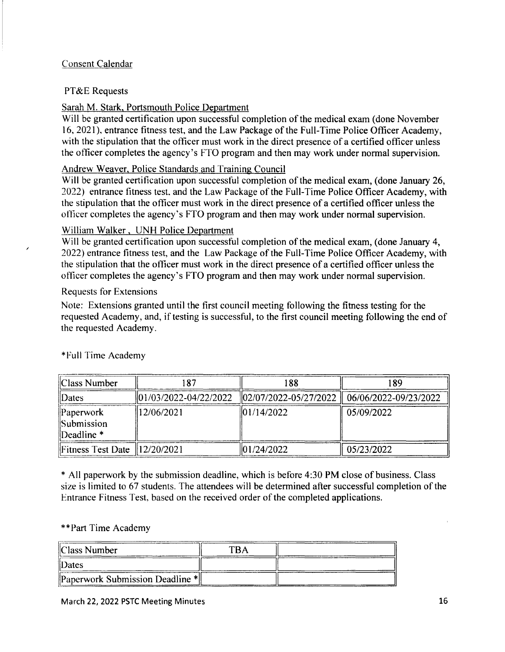## Consent Calendar

### PT&E Requests

## Sarah M. Stark, Portsmouth Police Department

Will be granted certification upon successful completion of the medical exam (done November 16, 2021), entrance fitness test, and the Law Package of the Full-Time Police Officer Academy, with the stipulation that the officer must work in the direct presence of a certified officer unless the officer completes the agency's FTO program and then may work under normal supervision.

### Andrew Weaver, Police Standards and Training Council

Will be granted certification upon successful completion of the medical exam, (done January 26, 2022) entrance fitness test, and the Law Package of the Full-Time Police Officer Academy, with the stipulation that the officer must work in the direct presence of a certified officer unless the officer completes the agency's FTO program and then may work under normal supervision.

### William Walker, UNH Police Department

Will be granted certification upon successful completion of the medical exam, (done January 4, 2022) entrance fitness test, and the Law Package of the Full-Time Police Officer Academy, with the stipulation that the officer must work in the direct presence of a certified officer unless the officer completes the agency's FTO program and then may work under normal supervision.

### Requests for Extensions

/

Note: Extensions granted until the first council meeting following the fitness testing for the requested Academy, and, if testing is successful, to the first council meeting following the end of the requested Academy.

| Class Number                                                         | 187        | 188                                                                    | 189        |
|----------------------------------------------------------------------|------------|------------------------------------------------------------------------|------------|
| $\ $ Dates                                                           |            | 01/03/2022-04/22/2022   02/07/2022-05/27/2022    06/06/2022-09/23/2022 |            |
| $\mathbb{P}$ aperwork<br>$\ $ Submission<br>$\parallel$ Deadline $*$ | 12/06/2021 | $\frac{101}{142022}$                                                   | 05/09/2022 |
| Fitness Test Date $  12/20/2021$                                     |            | 101/24/2022                                                            | 05/23/2022 |

### \* Full Time Academy

\* All paperwork by the submission deadline, which is before 4:30 PM close of business. Class size is limited to 67 students. The attendees will be determined after successful completion of the Entrance Fitness Test, based on the received order of the completed applications.

### \* \* Part Time Academy

| Class Number                    | TBA |  |
|---------------------------------|-----|--|
| II) ates                        |     |  |
| Paperwork Submission Deadline * |     |  |

#### March 22, 2022 PSTC Meeting Minutes 16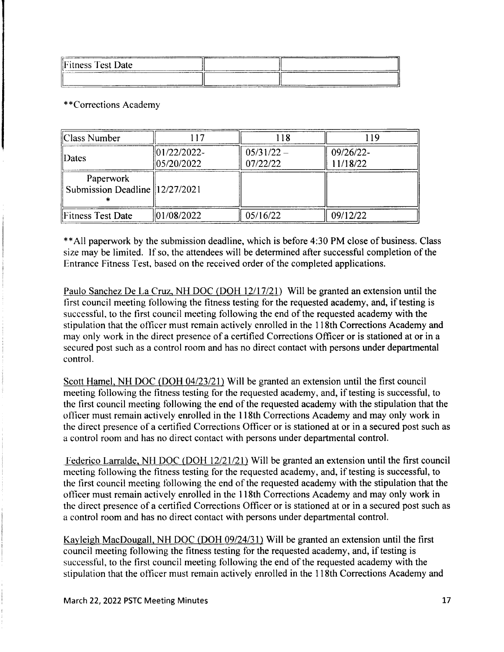| Fitness Test Date<br>____________ |           |                     |
|-----------------------------------|-----------|---------------------|
| ___________<br>_____              | _________ | <b>Constitution</b> |

\*\*Corrections Academy

| Class Number                                  |                               | 118                      |                       |
|-----------------------------------------------|-------------------------------|--------------------------|-----------------------|
| <b>Dates</b>                                  | $ 01/22/2022 -$<br>05/20/2022 | $05/31/22 -$<br>07/22/22 | 09/26/22-<br>11/18/22 |
| Paperwork<br>Submission Deadline   12/27/2021 |                               |                          |                       |
| Fitness Test Date                             | 01/08/2022                    | 05/16/22                 | 09/12/22              |

\*\*All paperwork by the submission deadline, which is before 4:30 PM close of business. Class size may be limited. If so, the attendees will be determined after successful completion of the Entrance Fitness Test, based on the received order of the completed applications.

Paulo Sanchez De La Cruz, NH DOC (DOH *12/17/21)* Will be granted an extension until the first council meeting following the fitness testing for the requested academy, and, if testing is successful, to the first council meeting following the end of the requested academy with the stipulation that the officer must remain actively enrolled in the 118th Corrections Academy and may only work in the direct presence of a certified Corrections Officer or is stationed at or in a secured post such as a control room and has no direct contact with persons under departmental control.

Scott Hamel, NH DOC (DOH *04/23/21)* Will be granted an extension until the first council meeting following the fitness testing for the requested academy, and, if testing is successful, to the first council meeting following the end of the requested academy with the stipulation that the officer must remain actively enrolled in the 118th Corrections Academy and may only work in the direct presence of a certified Corrections Officer or is stationed at or in a secured post such as a control room and has no direct contact with persons under departmental control.

Federico Larralde, NH DOC (DOH *12/21121)* Will be granted an extension until the first council meeting following the fitness testing for the requested academy, and, if testing is successful, to the first council meeting following the end of the requested academy with the stipulation that the officer must remain actively enrolled in the 118th Corrections Academy and may only work in the direct presence of a certified Corrections Officer or is stationed at or in a secured post such as a control room and has no direct contact with persons under departmental control.

Kayleigh MacDougall, NH DOC (DOH *09/24/31)* Will be granted an extension until the first council meeting following the fitness testing for the requested academy, and, if testing is successful, to the first council meeting following the end of the requested academy with the stipulation that the officer must remain actively enrolled in the 118th Corrections Academy and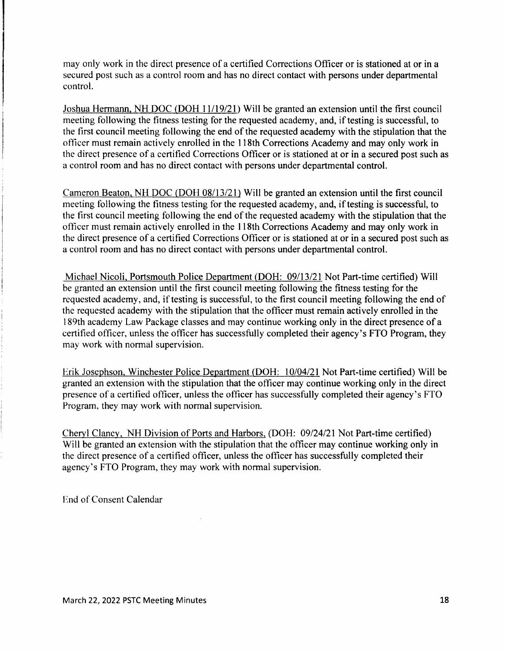may only work in the direct presence of a certified Corrections Officer or is stationed at or in a secured post such as a control room and has no direct contact with persons under departmental control.

Joshua Hermann, NH DOC (DOH *11/19/21)* Will be granted an extension until the first council meeting following the fitness testing for the requested academy, and, if testing is successful, to the first council meeting following the end of the requested academy with the stipulation that the officer must remain actively enrolled in the 118th Corrections Academy and may only work in the direct presence of a certified Corrections Officer or is stationed at or in a secured post such as a control room and has no direct contact with persons under departmental control.

Cameron Beaton, NH DOC (DOH *08113/21)* Will be granted an extension until the first council meeting following the fitness testing for the requested academy, and, if testing is successful, to the first council meeting following the end of the requested academy with the stipulation that the officer must remain actively enrolled in the 118th Corrections Academy and may only work in the direct presence of a certified Corrections Officer or is stationed at or in a secured post such as a control room and has no direct contact with persons under departmental control.

Michael Nicoli, Portsmouth Police Department (DOH: *09113/21* Not Part-time certified) Will be granted an extension until the first council meeting following the fitness testing for the requested academy, and, if testing is successful, to the first council meeting following the end of the requested academy with the stipulation that the officer must remain actively enrolled in the 189th academy Law Package classes and may continue working only in the direct presence of a certified officer, unless the officer has successfully completed their agency's FTO Program, they may work with normal supervision.

Erik Josephson, Winchester Police Department (DOH: *10104/21* Not Part-time certified) Will be granted an extension with the stipulation that the officer may continue working only in the direct presence of a certified officer, unless the officer has successfully completed their agency's FTO Program, they may work with normal supervision.

Cheryl Clancy, NH Division of Ports and Harbors, (DOH: *09/24/21* Not Part-time certified) Will be granted an extension with the stipulation that the officer may continue working only in the direct presence of a certified officer, unless the officer has successfully completed their agency's FTO Program, they may work with normal supervision.

End of Consent Calendar